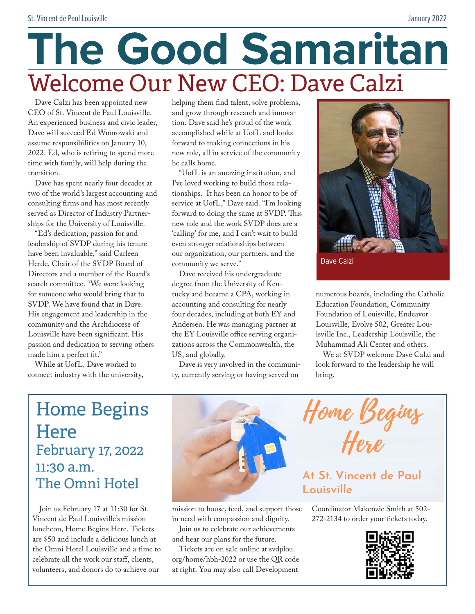# The Good Samaritan Welcome Our New CEO: Dave Calzi

Dave Calzi has been appointed new CEO of St. Vincent de Paul Louisville. An experienced business and civic leader, Dave will succeed Ed Wnorowski and assume responsibilities on January 10, 2022. Ed, who is retiring to spend more time with family, will help during the transition.

Dave has spent nearly four decades at two of the world's largest accounting and consulting firms and has most recently served as Director of Industry Partnerships for the University of Louisville.

"Ed's dedication, passion for and leadership of SVDP during his tenure have been invaluable," said Carleen Herde, Chair of the SVDP Board of Directors and a member of the Board's search committee. "We were looking for someone who would bring that to SVDP. We have found that in Dave. His engagement and leadership in the community and the Archdiocese of Louisville have been significant. His passion and dedication to serving others made him a perfect fit."

While at UofL, Dave worked to connect industry with the university,

helping them find talent, solve problems, and grow through research and innovation. Dave said he's proud of the work accomplished while at UofL and looks forward to making connections in his new role, all in service of the community he calls home.

"UofL is an amazing institution, and I've loved working to build those relationships. It has been an honor to be of service at UofL," Dave said. "I'm looking forward to doing the same at SVDP. This new role and the work SVDP does are a 'calling' for me, and I can't wait to build even stronger relationships between our organization, our partners, and the community we serve."

Dave received his undergraduate degree from the University of Kentucky and became a CPA, working in accounting and consulting for nearly four decades, including at both EY and Andersen. He was managing partner at the EY Louisville office serving organizations across the Commonwealth, the US, and globally.

Dave is very involved in the community, currently serving or having served on



Dave Calzi

numerous boards, including the Catholic Education Foundation, Community Foundation of Louisville, Endeavor Louisville, Evolve 502, Greater Louisville Inc., Leadership Louisville, the Muhammad Ali Center and others.

We at SVDP welcome Dave Calzi and look forward to the leadership he will bring.

# Home Begins **Here** February 17, 2022 11:30 a.m. The Omni Hotel

Join us February 17 at 11:30 for St. Vincent de Paul Louisville's mission luncheon, Home Begins Here. Tickets are \$50 and include a delicious lunch at the Omni Hotel Louisville and a time to celebrate all the work our staff, clients, volunteers, and donors do to achieve our



mission to house, feed, and support those in need with compassion and dignity.

Join us to celebrate our achievements and hear our plans for the future.

Tickets are on sale online at svdplou. org/home/hbh-2022 or use the QR code at right. You may also call Development

**At St. Vincent de Paul Louisville**

Here

Home Beginz

Coordinator Makenzie Smith at 502- 272-2134 to order your tickets today.

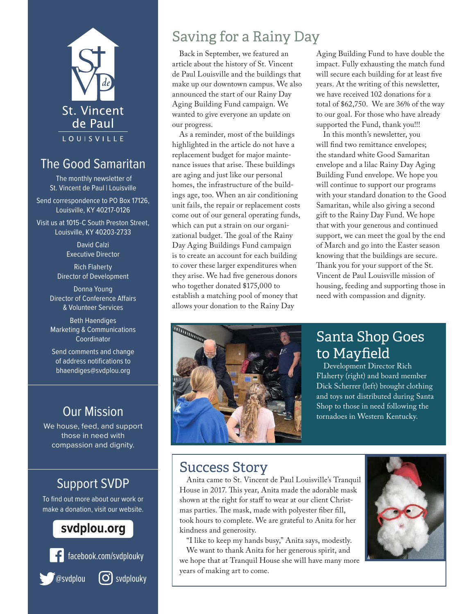

### The Good Samaritan

The monthly newsletter of St. Vincent de Paul | Louisville

Send correspondence to PO Box 17126, Louisville, KY 40217-0126

Visit us at 1015-C South Preston Street, Louisville, KY 40203-2733

> David Calzi Executive Director

Rich Flaherty Director of Development

Donna Young Director of Conference Affairs & Volunteer Services

Beth Haendiges Marketing & Communications Coordinator

Send comments and change of address notifications to bhaendiges@svdplou.org

#### Our Mission

We house, feed, and support those in need with compassion and dignity.

## Support SVDP

To find out more about our work or make a donation, visit our website.

### svdplou.org



svdplouky

**W** @svdplou

# Saving for a Rainy Day

Back in September, we featured an article about the history of St. Vincent de Paul Louisville and the buildings that make up our downtown campus. We also announced the start of our Rainy Day Aging Building Fund campaign. We wanted to give everyone an update on our progress.

As a reminder, most of the buildings highlighted in the article do not have a replacement budget for major maintenance issues that arise. These buildings are aging and just like our personal homes, the infrastructure of the buildings age, too. When an air conditioning unit fails, the repair or replacement costs come out of our general operating funds, which can put a strain on our organizational budget. The goal of the Rainy Day Aging Buildings Fund campaign is to create an account for each building to cover these larger expenditures when they arise. We had five generous donors who together donated \$175,000 to establish a matching pool of money that allows your donation to the Rainy Day

Aging Building Fund to have double the impact. Fully exhausting the match fund will secure each building for at least five years. At the writing of this newsletter, we have received 102 donations for a total of \$62,750. We are 36% of the way to our goal. For those who have already supported the Fund, thank you!!!

In this month's newsletter, you will find two remittance envelopes; the standard white Good Samaritan envelope and a lilac Rainy Day Aging Building Fund envelope. We hope you will continue to support our programs with your standard donation to the Good Samaritan, while also giving a second gift to the Rainy Day Fund. We hope that with your generous and continued support, we can meet the goal by the end of March and go into the Easter season knowing that the buildings are secure. Thank you for your support of the St. Vincent de Paul Louisville mission of housing, feeding and supporting those in need with compassion and dignity.



## Santa Shop Goes to Mayfield

Development Director Rich Flaherty (right) and board member Dick Scherrer (left) brought clothing and toys not distributed during Santa Shop to those in need following the tornadoes in Western Kentucky.

# Success Story

Anita came to St. Vincent de Paul Louisville's Tranquil House in 2017. This year, Anita made the adorable mask shown at the right for staff to wear at our client Christmas parties. The mask, made with polyester fiber fill, took hours to complete. We are grateful to Anita for her kindness and generosity.

"I like to keep my hands busy," Anita says, modestly. We want to thank Anita for her generous spirit, and we hope that at Tranquil House she will have many more years of making art to come.

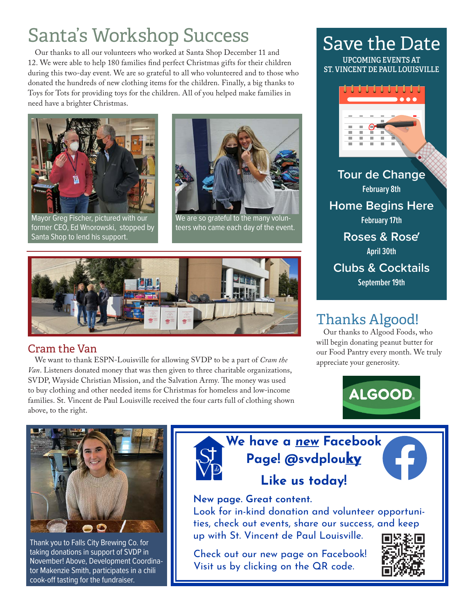# Santa's Workshop Success

Our thanks to all our volunteers who worked at Santa Shop December 11 and 12. We were able to help 180 families find perfect Christmas gifts for their children during this two-day event. We are so grateful to all who volunteered and to those who donated the hundreds of new clothing items for the children. Finally, a big thanks to Toys for Tots for providing toys for the children. All of you helped make families in need have a brighter Christmas.



Mayor Greg Fischer, pictured with our former CEO, Ed Wnorowski, stopped by Santa Shop to lend his support.



We are so grateful to the many volunteers who came each day of the event.



#### Cram the Van

We want to thank ESPN-Louisville for allowing SVDP to be a part of *Cram the Van*. Listeners donated money that was then given to three charitable organizations, SVDP, Wayside Christian Mission, and the Salvation Army. The money was used to buy clothing and other needed items for Christmas for homeless and low-income families. St. Vincent de Paul Louisville received the four carts full of clothing shown above, to the right.

Save the Date

**UPCOMING EVENTS AT ST. VINCENT DE PAUL LOUISVILLE**



**Tour de Change February 8th Home Begins Here February 17th Roses & Rose′ April 30th Clubs & Cocktails September 19th**

# Thanks Algood!

Our thanks to Algood Foods, who will begin donating peanut butter for our Food Pantry every month. We truly appreciate your generosity.





Thank you to Falls City Brewing Co. for taking donations in support of SVDP in November! Above, Development Coordinator Makenzie Smith, participates in a chili cook-off tasting for the fundraiser.



**We have a new Facebook Page! @svdplouky**



## **Like us today!**

**New page. Great content.** Look for in-kind donation and volunteer opportunities, check out events, share our success, and keep up with St. Vincent de Paul Louisville.

Check out our new page on Facebook! Visit us by clicking on the QR code.